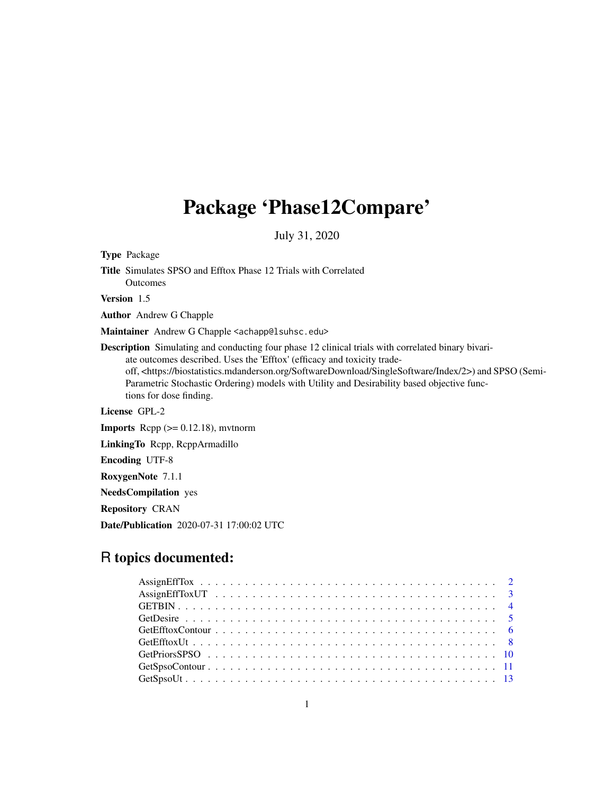# Package 'Phase12Compare'

July 31, 2020

Type Package Title Simulates SPSO and Efftox Phase 12 Trials with Correlated Outcomes

Version 1.5

Author Andrew G Chapple

Maintainer Andrew G Chapple <achapp@lsuhsc.edu>

Description Simulating and conducting four phase 12 clinical trials with correlated binary bivariate outcomes described. Uses the 'Efftox' (efficacy and toxicity tradeoff, <https://biostatistics.mdanderson.org/SoftwareDownload/SingleSoftware/Index/2>) and SPSO (Semi-Parametric Stochastic Ordering) models with Utility and Desirability based objective functions for dose finding.

License GPL-2

**Imports** Rcpp  $(>= 0.12.18)$ , mythorm

LinkingTo Rcpp, RcppArmadillo

Encoding UTF-8

RoxygenNote 7.1.1

NeedsCompilation yes

Repository CRAN

Date/Publication 2020-07-31 17:00:02 UTC

# R topics documented: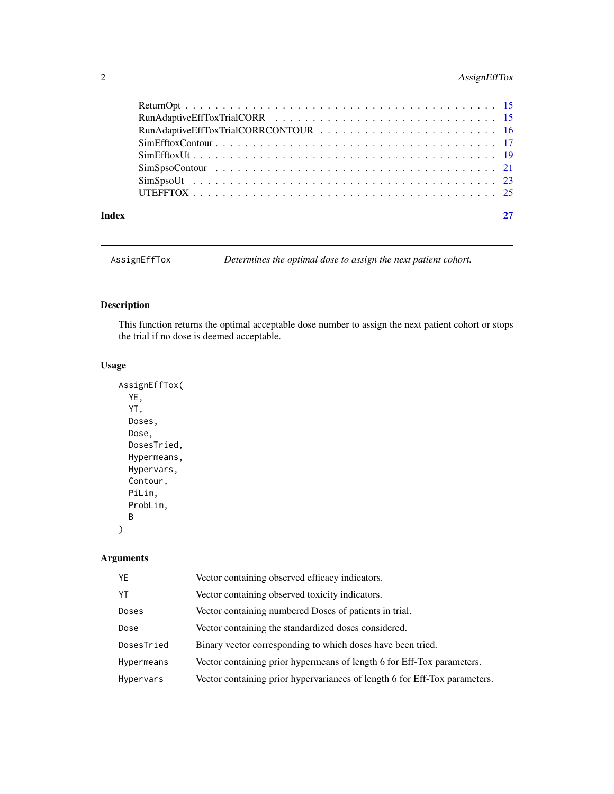# <span id="page-1-0"></span>2 AssignEffTox

| Index |  |
|-------|--|

AssignEffTox *Determines the optimal dose to assign the next patient cohort.*

# Description

This function returns the optimal acceptable dose number to assign the next patient cohort or stops the trial if no dose is deemed acceptable.

### Usage

```
AssignEffTox(
  YE,
 YT,
 Doses,
 Dose,
 DosesTried,
 Hypermeans,
 Hypervars,
 Contour,
 PiLim,
 ProbLim,
 B
)
```

| YE         | Vector containing observed efficacy indicators.                            |
|------------|----------------------------------------------------------------------------|
| YT         | Vector containing observed toxicity indicators.                            |
| Doses      | Vector containing numbered Doses of patients in trial.                     |
| Dose       | Vector containing the standardized doses considered.                       |
| DosesTried | Binary vector corresponding to which doses have been tried.                |
| Hypermeans | Vector containing prior hypermeans of length 6 for Eff-Tox parameters.     |
| Hypervars  | Vector containing prior hypervariances of length 6 for Eff-Tox parameters. |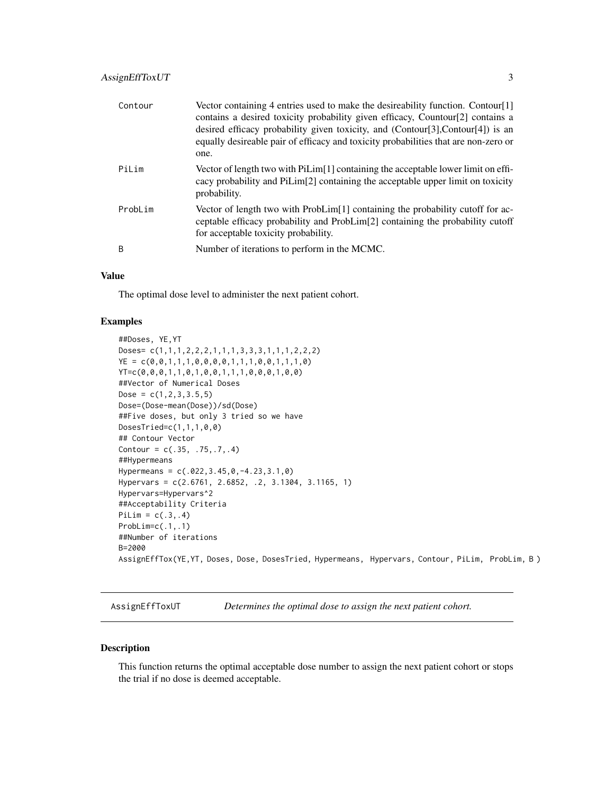<span id="page-2-0"></span>

| Contour | Vector containing 4 entries used to make the desireability function. Contour[1]<br>contains a desired toxicity probability given efficacy, Countour[2] contains a<br>desired efficacy probability given toxicity, and $(Contour[3], Contour[4])$ is an<br>equally desireable pair of efficacy and toxicity probabilities that are non-zero or<br>one. |
|---------|-------------------------------------------------------------------------------------------------------------------------------------------------------------------------------------------------------------------------------------------------------------------------------------------------------------------------------------------------------|
| PiLim   | Vector of length two with PiLim[1] containing the acceptable lower limit on effi-<br>cacy probability and PiLim <sup>[2]</sup> containing the acceptable upper limit on toxicity<br>probability.                                                                                                                                                      |
| ProbLim | Vector of length two with $Problem[1]$ containing the probability cutoff for ac-<br>ceptable efficacy probability and ProbLim[2] containing the probability cutoff<br>for acceptable toxicity probability.                                                                                                                                            |
| B       | Number of iterations to perform in the MCMC.                                                                                                                                                                                                                                                                                                          |

The optimal dose level to administer the next patient cohort.

#### Examples

```
##Doses, YE,YT
Doses= c(1,1,1,2,2,2,1,1,1,3,3,3,1,1,1,2,2,2)
YE = c(0,0,1,1,1,0,0,0,0,1,1,1,0,0,1,1,1,0)
YT=c(0,0,0,1,1,0,1,0,0,1,1,1,0,0,0,1,0,0)
##Vector of Numerical Doses
Dose = c(1, 2, 3, 3.5, 5)Dose=(Dose-mean(Dose))/sd(Dose)
##Five doses, but only 3 tried so we have
DosesTried=c(1,1,1,0,0)
## Contour Vector
Contour = c(.35, .75, .7, .4)##Hypermeans
Hypermeans = c(.022,3.45,0,-4.23,3.1,0)
Hypervars = c(2.6761, 2.6852, .2, 3.1304, 3.1165, 1)
Hypervars=Hypervars^2
##Acceptability Criteria
PiLim = c(.3,.4)ProbLim=c(.1,.1)
##Number of iterations
B=2000
AssignEffTox(YE,YT, Doses, Dose, DosesTried, Hypermeans, Hypervars, Contour, PiLim, ProbLim, B )
```
AssignEffToxUT *Determines the optimal dose to assign the next patient cohort.*

#### Description

This function returns the optimal acceptable dose number to assign the next patient cohort or stops the trial if no dose is deemed acceptable.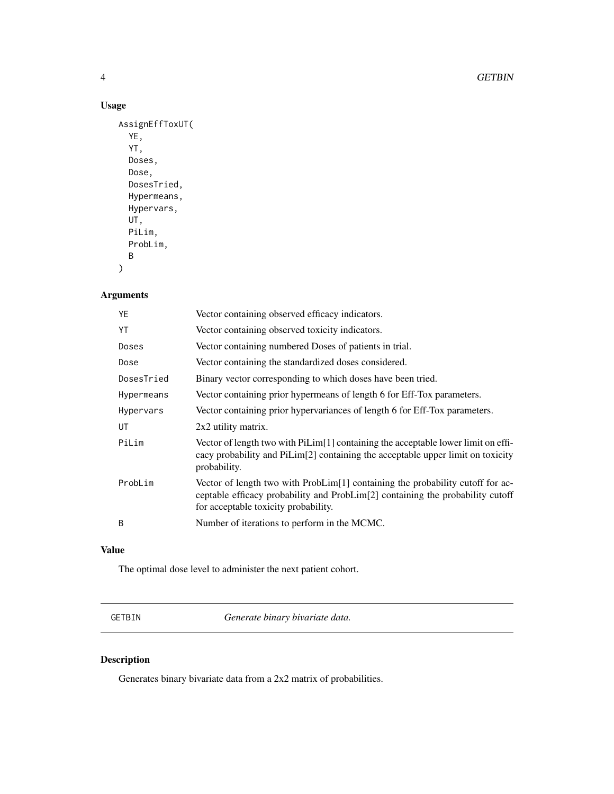4 GETBIN

# Usage

```
AssignEffToxUT(
  YE,
  YT,
 Doses,
 Dose,
 DosesTried,
 Hypermeans,
 Hypervars,
 UT,
 PiLim,
 ProbLim,
 B
)
```
# Arguments

| YE         | Vector containing observed efficacy indicators.                                                                                                                                                          |
|------------|----------------------------------------------------------------------------------------------------------------------------------------------------------------------------------------------------------|
| YT         | Vector containing observed toxicity indicators.                                                                                                                                                          |
| Doses      | Vector containing numbered Doses of patients in trial.                                                                                                                                                   |
| Dose       | Vector containing the standardized doses considered.                                                                                                                                                     |
| DosesTried | Binary vector corresponding to which doses have been tried.                                                                                                                                              |
| Hypermeans | Vector containing prior hypermeans of length 6 for Eff-Tox parameters.                                                                                                                                   |
| Hypervars  | Vector containing prior hypervariances of length 6 for Eff-Tox parameters.                                                                                                                               |
| UT         | 2x2 utility matrix.                                                                                                                                                                                      |
| PiLim      | Vector of length two with PiLim[1] containing the acceptable lower limit on effi-<br>cacy probability and PiLim[2] containing the acceptable upper limit on toxicity<br>probability.                     |
| ProbLim    | Vector of length two with ProbLim[1] containing the probability cutoff for ac-<br>ceptable efficacy probability and ProbLim[2] containing the probability cutoff<br>for acceptable toxicity probability. |
| B          | Number of iterations to perform in the MCMC.                                                                                                                                                             |
|            |                                                                                                                                                                                                          |

### Value

The optimal dose level to administer the next patient cohort.

GETBIN *Generate binary bivariate data.*

# Description

Generates binary bivariate data from a 2x2 matrix of probabilities.

<span id="page-3-0"></span>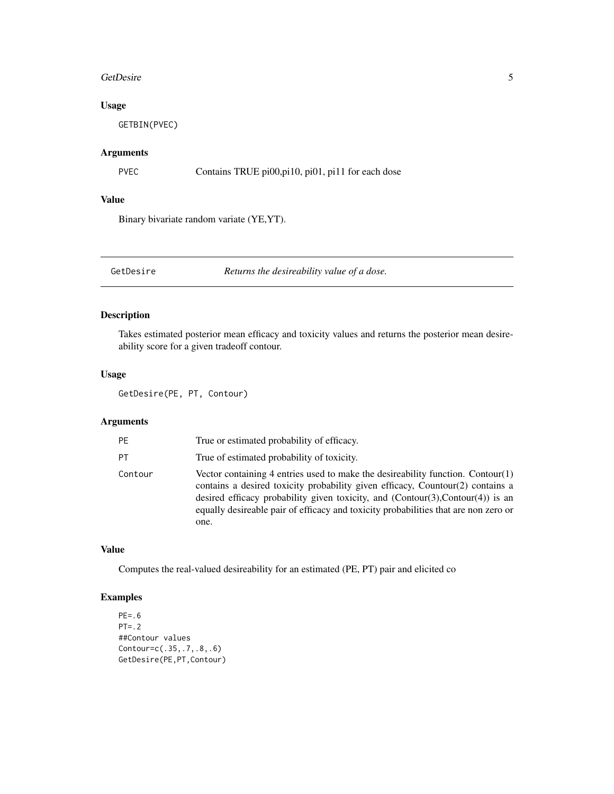#### <span id="page-4-0"></span>GetDesire 5

### Usage

GETBIN(PVEC)

#### Arguments

PVEC Contains TRUE pi00, pi10, pi01, pi11 for each dose

# Value

Binary bivariate random variate (YE,YT).

GetDesire *Returns the desireability value of a dose.*

### Description

Takes estimated posterior mean efficacy and toxicity values and returns the posterior mean desireability score for a given tradeoff contour.

### Usage

```
GetDesire(PE, PT, Contour)
```
#### Arguments

| <b>PE</b> | True or estimated probability of efficacy.                                                                                                                                                                                                                                                                                                              |
|-----------|---------------------------------------------------------------------------------------------------------------------------------------------------------------------------------------------------------------------------------------------------------------------------------------------------------------------------------------------------------|
| PT        | True of estimated probability of toxicity.                                                                                                                                                                                                                                                                                                              |
| Contour   | Vector containing 4 entries used to make the desireability function. Contour $(1)$<br>contains a desired toxicity probability given efficacy, Countour(2) contains a<br>desired efficacy probability given toxicity, and $(Contour(3),Contour(4))$ is an<br>equally desireable pair of efficacy and toxicity probabilities that are non zero or<br>one. |

#### Value

Computes the real-valued desireability for an estimated (PE, PT) pair and elicited co

```
PE=.6
PT = .2##Contour values
Contour=c(.35,.7,.8,.6)
GetDesire(PE,PT,Contour)
```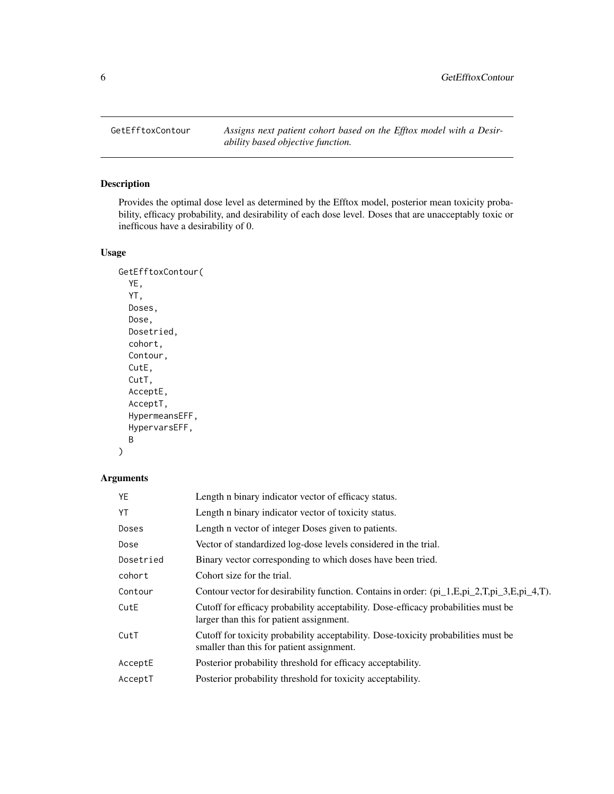<span id="page-5-0"></span>GetEfftoxContour *Assigns next patient cohort based on the Efftox model with a Desirability based objective function.*

# Description

Provides the optimal dose level as determined by the Efftox model, posterior mean toxicity probability, efficacy probability, and desirability of each dose level. Doses that are unacceptably toxic or inefficous have a desirability of 0.

# Usage

```
GetEfftoxContour(
  YE,
  YT,
 Doses,
 Dose,
 Dosetried,
  cohort,
 Contour,
  CutE,
  CutT,
 AcceptE,
 AcceptT,
 HypermeansEFF,
 HypervarsEFF,
 B
)
```

| Length n binary indicator vector of efficacy status.                                                                            |
|---------------------------------------------------------------------------------------------------------------------------------|
| Length n binary indicator vector of toxicity status.                                                                            |
| Length n vector of integer Doses given to patients.                                                                             |
| Vector of standardized log-dose levels considered in the trial.                                                                 |
| Binary vector corresponding to which doses have been tried.                                                                     |
| Cohort size for the trial.                                                                                                      |
| Contour vector for desirability function. Contains in order: $pi_1$ . E, pi_2, T, pi_3, E, pi_4, T).                            |
| Cutoff for efficacy probability acceptability. Dose-efficacy probabilities must be<br>larger than this for patient assignment.  |
| Cutoff for toxicity probability acceptability. Dose-toxicity probabilities must be<br>smaller than this for patient assignment. |
| Posterior probability threshold for efficacy acceptability.                                                                     |
| Posterior probability threshold for toxicity acceptability.                                                                     |
|                                                                                                                                 |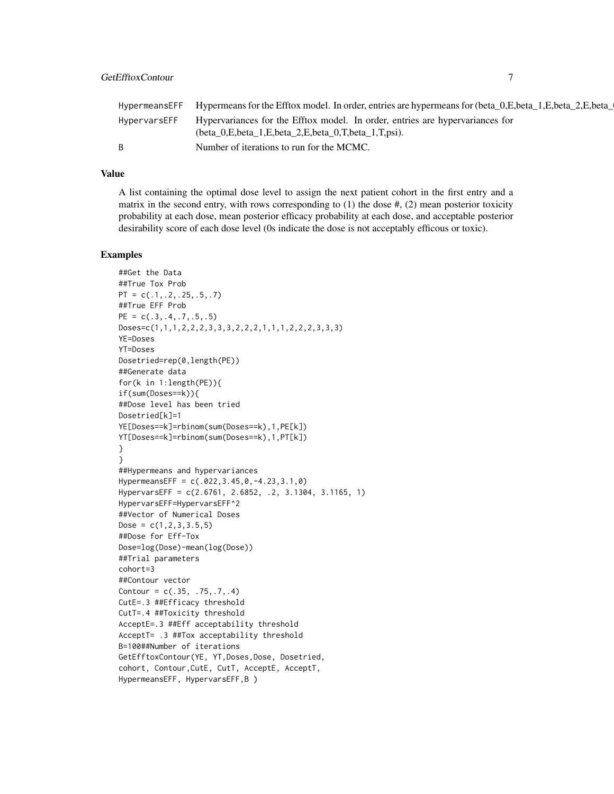|              | HypermeansEFF Hypermeans for the Efftox model. In order, entries are hypermeans for (beta_0,E,beta_1,E,beta_2,E,beta_1,                        |
|--------------|------------------------------------------------------------------------------------------------------------------------------------------------|
| HypervarsEFF | Hypervariances for the Efftox model. In order, entries are hypervariances for<br>(beta 0, E, beta 1, E, beta 2, E, beta 0, T, beta 1, T, psi). |
| B.           | Number of iterations to run for the MCMC.                                                                                                      |

A list containing the optimal dose level to assign the next patient cohort in the first entry and a matrix in the second entry, with rows corresponding to  $(1)$  the dose  $\#$ ,  $(2)$  mean posterior toxicity probability at each dose, mean posterior efficacy probability at each dose, and acceptable posterior desirability score of each dose level (0s indicate the dose is not acceptably efficous or toxic).

```
##Get the Data
##True Tox Prob
PT = c(.1,.2,.25,.5,.7)##True EFF Prob
PE = c(.3,.4,.7,.5,.5)Doses=c(1,1,1,2,2,2,3,3,3,2,2,2,1,1,1,2,2,2,3,3,3)
YE=Doses
YT=Doses
Dosetried=rep(0,length(PE))
##Generate data
for(k in 1:length(PE)){
if(sum(Doses==k)){
##Dose level has been tried
Dosetried[k]=1
YE[Doses==k]=rbinom(sum(Doses==k),1,PE[k])
YT[Doses==k]=rbinom(sum(Doses==k),1,PT[k])
}
}
##Hypermeans and hypervariances
HypermeansEFF = c(.022,3.45,0,-4.23,3.1,0)
HypervarsEFF = c(2.6761, 2.6852, .2, 3.1304, 3.1165, 1)
HypervarsEFF=HypervarsEFF^2
##Vector of Numerical Doses
Dose = c(1, 2, 3, 3.5, 5)##Dose for Eff-Tox
Dose=log(Dose)-mean(log(Dose))
##Trial parameters
cohort=3
##Contour vector
Contour = c(.35, .75, .7, .4)CutE=.3 ##Efficacy threshold
CutT=.4 ##Toxicity threshold
AcceptE=.3 ##Eff acceptability threshold
AcceptT= .3 ##Tox acceptability threshold
B=100##Number of iterations
GetEfftoxContour(YE, YT, Doses, Dose, Dosetried,
cohort, Contour,CutE, CutT, AcceptE, AcceptT,
HypermeansEFF, HypervarsEFF,B )
```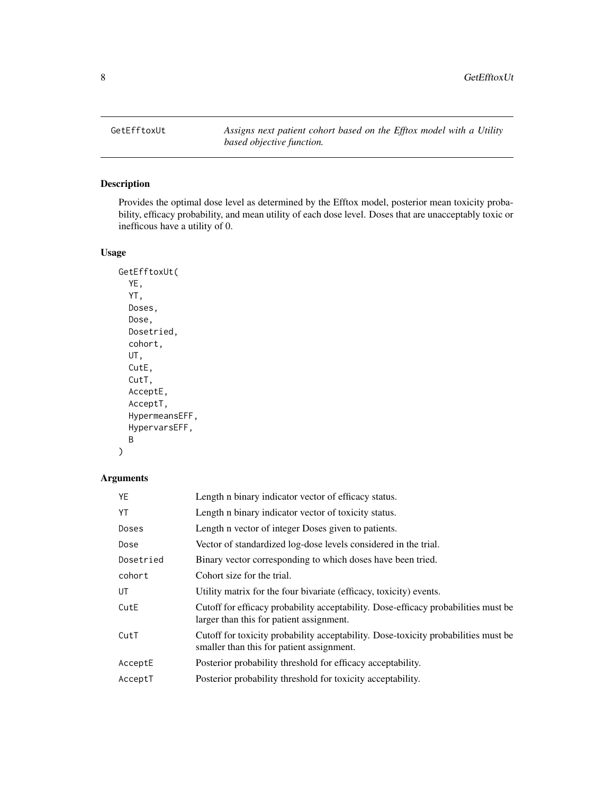<span id="page-7-0"></span>GetEfftoxUt *Assigns next patient cohort based on the Efftox model with a Utility based objective function.*

# Description

Provides the optimal dose level as determined by the Efftox model, posterior mean toxicity probability, efficacy probability, and mean utility of each dose level. Doses that are unacceptably toxic or inefficous have a utility of 0.

### Usage

```
GetEfftoxUt(
  YE,
  YT,
 Doses,
 Dose,
 Dosetried,
  cohort,
 UT,
  CutE,
 CutT,
 AcceptE,
 AcceptT,
 HypermeansEFF,
 HypervarsEFF,
 B
)
```

| YE        | Length n binary indicator vector of efficacy status.                                                                            |
|-----------|---------------------------------------------------------------------------------------------------------------------------------|
| YT        | Length n binary indicator vector of toxicity status.                                                                            |
| Doses     | Length n vector of integer Doses given to patients.                                                                             |
| Dose      | Vector of standardized log-dose levels considered in the trial.                                                                 |
| Dosetried | Binary vector corresponding to which doses have been tried.                                                                     |
| cohort    | Cohort size for the trial.                                                                                                      |
| UT        | Utility matrix for the four bivariate (efficacy, toxicity) events.                                                              |
| CutE      | Cutoff for efficacy probability acceptability. Dose-efficacy probabilities must be<br>larger than this for patient assignment.  |
| CutT      | Cutoff for toxicity probability acceptability. Dose-toxicity probabilities must be<br>smaller than this for patient assignment. |
| AcceptE   | Posterior probability threshold for efficacy acceptability.                                                                     |
| AcceptT   | Posterior probability threshold for toxicity acceptability.                                                                     |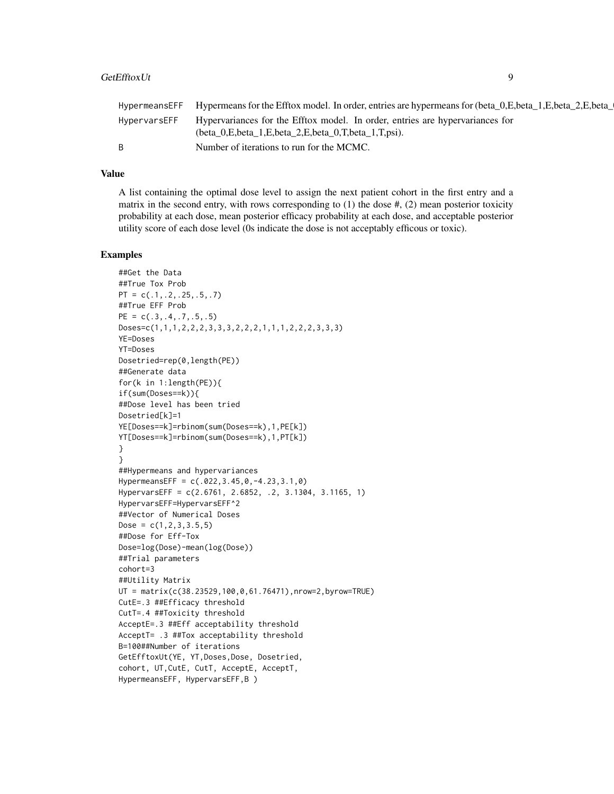| Hypervariances for the Efftox model. In order, entries are hypervariances for<br>HypervarsEFF<br>$beta_0,E,beta_1,E,beta_2,E,beta_0,T,beta_1,T,psi).$<br>Number of iterations to run for the MCMC. | HypermeansEFF Hypermeans for the Efftox model. In order, entries are hypermeans for (beta_0,E,beta_1,E,beta_2,E,beta_ |
|----------------------------------------------------------------------------------------------------------------------------------------------------------------------------------------------------|-----------------------------------------------------------------------------------------------------------------------|
|                                                                                                                                                                                                    |                                                                                                                       |
|                                                                                                                                                                                                    |                                                                                                                       |

A list containing the optimal dose level to assign the next patient cohort in the first entry and a matrix in the second entry, with rows corresponding to  $(1)$  the dose  $\#$ ,  $(2)$  mean posterior toxicity probability at each dose, mean posterior efficacy probability at each dose, and acceptable posterior utility score of each dose level (0s indicate the dose is not acceptably efficous or toxic).

```
##Get the Data
##True Tox Prob
PT = c(.1,.2,.25,.5,.7)
##True EFF Prob
PE = c(.3,.4,.7,.5,.5)Doses=c(1,1,1,2,2,2,3,3,3,2,2,2,1,1,1,2,2,2,3,3,3)
YE=Doses
YT=Doses
Dosetried=rep(0,length(PE))
##Generate data
for(k in 1:length(PE)){
if(sum(Doses==k)){
##Dose level has been tried
Dosetried[k]=1
YE[Doses==k]=rbinom(sum(Doses==k),1,PE[k])
YT[Doses==k]=rbinom(sum(Doses==k),1,PT[k])
}
}
##Hypermeans and hypervariances
HypermeansEFF = c(.022,3.45,0,-4.23,3.1,0)
HypervarsEFF = c(2.6761, 2.6852, .2, 3.1304, 3.1165, 1)
HypervarsEFF=HypervarsEFF^2
##Vector of Numerical Doses
Dose = c(1, 2, 3, 3.5, 5)##Dose for Eff-Tox
Dose=log(Dose)-mean(log(Dose))
##Trial parameters
cohort=3
##Utility Matrix
UT = matrix(c(38.23529,100,0,61.76471),nrow=2,byrow=TRUE)
CutE=.3 ##Efficacy threshold
CutT=.4 ##Toxicity threshold
AcceptE=.3 ##Eff acceptability threshold
AcceptT= .3 ##Tox acceptability threshold
B=100##Number of iterations
GetEfftoxUt(YE, YT,Doses,Dose, Dosetried,
cohort, UT,CutE, CutT, AcceptE, AcceptT,
HypermeansEFF, HypervarsEFF,B )
```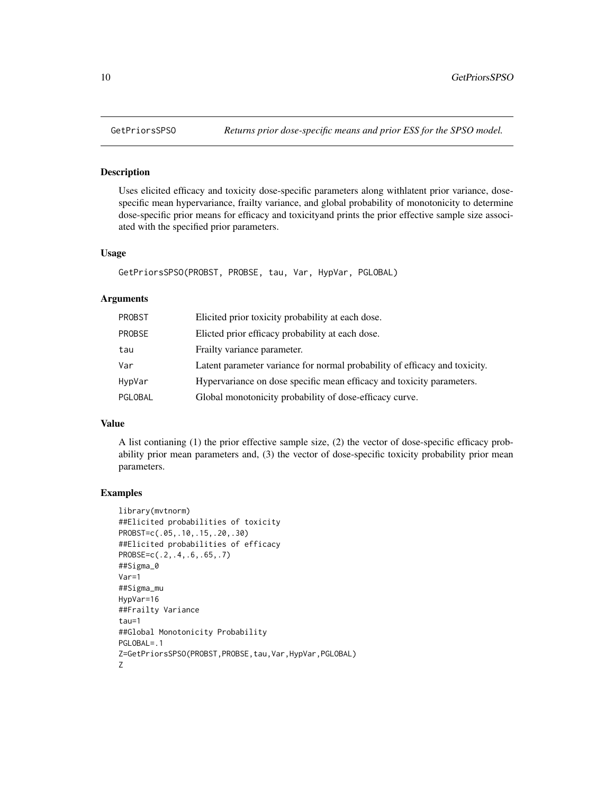#### Description

Uses elicited efficacy and toxicity dose-specific parameters along withlatent prior variance, dosespecific mean hypervariance, frailty variance, and global probability of monotonicity to determine dose-specific prior means for efficacy and toxicityand prints the prior effective sample size associated with the specified prior parameters.

#### Usage

GetPriorsSPSO(PROBST, PROBSE, tau, Var, HypVar, PGLOBAL)

#### Arguments

| PROBST        | Elicited prior toxicity probability at each dose.                          |
|---------------|----------------------------------------------------------------------------|
| <b>PROBSE</b> | Elicted prior efficacy probability at each dose.                           |
| tau           | Frailty variance parameter.                                                |
| Var           | Latent parameter variance for normal probability of efficacy and toxicity. |
| HypVar        | Hypervariance on dose specific mean efficacy and toxicity parameters.      |
| PGLOBAL       | Global monotonicity probability of dose-efficacy curve.                    |

#### Value

A list contianing (1) the prior effective sample size, (2) the vector of dose-specific efficacy probability prior mean parameters and, (3) the vector of dose-specific toxicity probability prior mean parameters.

```
library(mvtnorm)
##Elicited probabilities of toxicity
PROBST=c(.05,.10,.15,.20,.30)
##Elicited probabilities of efficacy
PROBSE=c(.2,.4,.6,.65,.7)
##Sigma_0
Var=1
##Sigma_mu
HypVar=16
##Frailty Variance
tau=1
##Global Monotonicity Probability
PGLOBAL=.1
Z=GetPriorsSPSO(PROBST,PROBSE,tau,Var,HypVar,PGLOBAL)
Z
```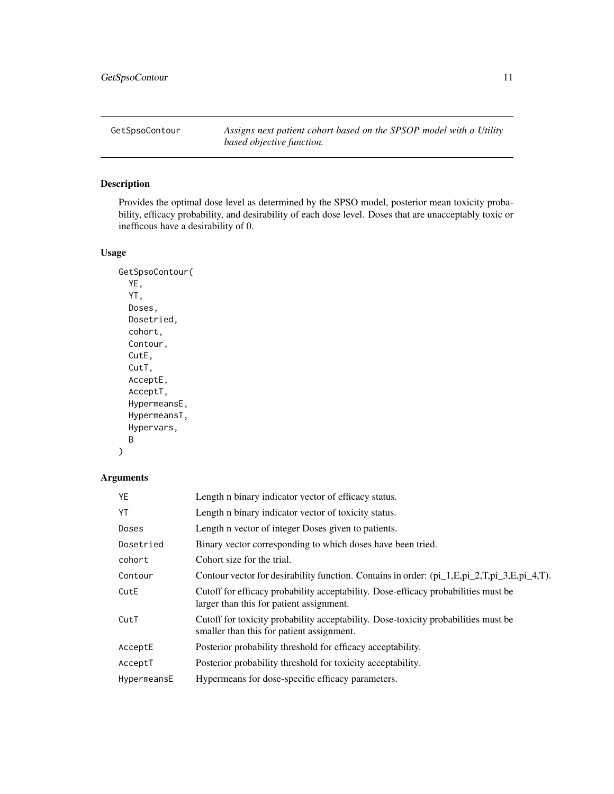<span id="page-10-0"></span>GetSpsoContour *Assigns next patient cohort based on the SPSOP model with a Utility based objective function.*

# Description

Provides the optimal dose level as determined by the SPSO model, posterior mean toxicity probability, efficacy probability, and desirability of each dose level. Doses that are unacceptably toxic or inefficous have a desirability of 0.

# Usage

```
GetSpsoContour(
  YE,
  YT,
 Doses,
 Dosetried,
  cohort,
  Contour,
 CutE,
  CutT,
  AcceptE,
 AcceptT,
 HypermeansE,
 HypermeansT,
 Hypervars,
 B
)
```

| YE          | Length n binary indicator vector of efficacy status.                                                                            |
|-------------|---------------------------------------------------------------------------------------------------------------------------------|
| YT          | Length n binary indicator vector of toxicity status.                                                                            |
| Doses       | Length n vector of integer Doses given to patients.                                                                             |
| Dosetried   | Binary vector corresponding to which doses have been tried.                                                                     |
| cohort      | Cohort size for the trial.                                                                                                      |
| Contour     | Contour vector for desirability function. Contains in order: (pi_1,E,pi_2,T,pi_3,E,pi_4,T).                                     |
| CutE        | Cutoff for efficacy probability acceptability. Dose-efficacy probabilities must be<br>larger than this for patient assignment.  |
| CutT        | Cutoff for toxicity probability acceptability. Dose-toxicity probabilities must be<br>smaller than this for patient assignment. |
| AcceptE     | Posterior probability threshold for efficacy acceptability.                                                                     |
| AcceptT     | Posterior probability threshold for toxicity acceptability.                                                                     |
| HypermeansE | Hypermeans for dose-specific efficacy parameters.                                                                               |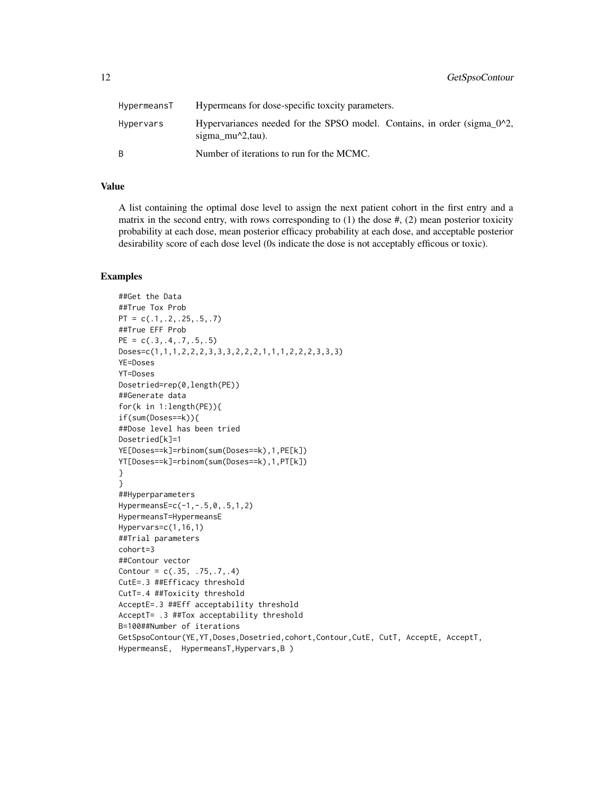| HypermeansT | Hypermeans for dose-specific toxcity parameters.                                                     |
|-------------|------------------------------------------------------------------------------------------------------|
| Hypervars   | Hypervariances needed for the SPSO model. Contains, in order (sigma $0^2$ ),<br>sigma $mu^2$ , tau). |
|             | Number of iterations to run for the MCMC.                                                            |

A list containing the optimal dose level to assign the next patient cohort in the first entry and a matrix in the second entry, with rows corresponding to  $(1)$  the dose  $\#$ ,  $(2)$  mean posterior toxicity probability at each dose, mean posterior efficacy probability at each dose, and acceptable posterior desirability score of each dose level (0s indicate the dose is not acceptably efficous or toxic).

```
##Get the Data
##True Tox Prob
PT = c(.1,.2,.25,.5,.7)##True EFF Prob
PE = c(.3,.4,.7,.5,.5)Doses=c(1,1,1,2,2,2,3,3,3,2,2,2,1,1,1,2,2,2,3,3,3)
YE=Doses
YT=Doses
Dosetried=rep(0,length(PE))
##Generate data
for(k in 1:length(PE)){
if(sum(Doses==k)){
##Dose level has been tried
Dosetried[k]=1
YE[Doses==k]=rbinom(sum(Doses==k),1,PE[k])
YT[Doses==k]=rbinom(sum(Doses==k),1,PT[k])
}
}
##Hyperparameters
HypermeansE=c(-1,-.5,0,.5,1,2)
HypermeansT=HypermeansE
Hypervars=c(1,16,1)
##Trial parameters
cohort=3
##Contour vector
Contour = c(.35, .75, .7, .4)CutE=.3 ##Efficacy threshold
CutT=.4 ##Toxicity threshold
AcceptE=.3 ##Eff acceptability threshold
AcceptT= .3 ##Tox acceptability threshold
B=100##Number of iterations
GetSpsoContour(YE,YT,Doses,Dosetried,cohort,Contour,CutE, CutT, AcceptE, AcceptT,
HypermeansE, HypermeansT,Hypervars,B )
```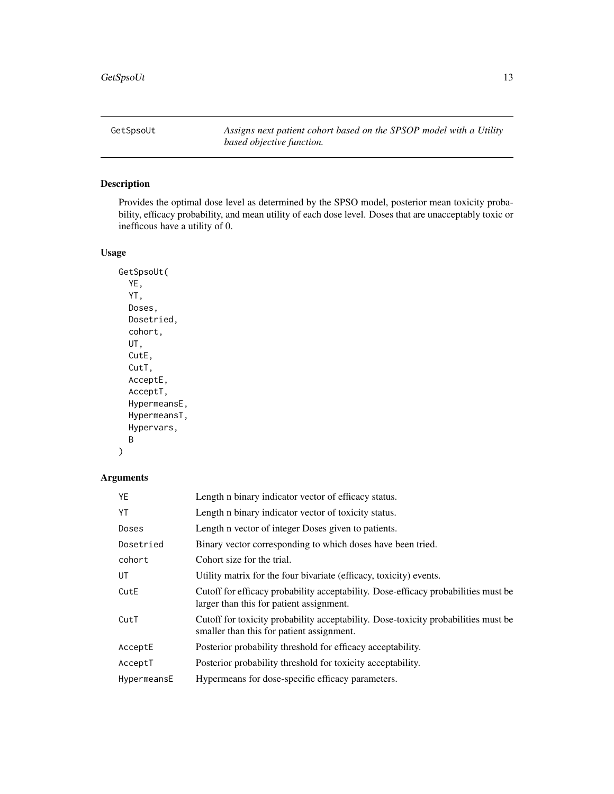<span id="page-12-0"></span>GetSpsoUt *Assigns next patient cohort based on the SPSOP model with a Utility based objective function.*

# Description

Provides the optimal dose level as determined by the SPSO model, posterior mean toxicity probability, efficacy probability, and mean utility of each dose level. Doses that are unacceptably toxic or inefficous have a utility of 0.

### Usage

GetSpsoUt( YE, YT, Doses, Dosetried, cohort, UT, CutE, CutT, AcceptE, AcceptT, HypermeansE, HypermeansT, Hypervars, B )

| YE          | Length n binary indicator vector of efficacy status.                                                                            |
|-------------|---------------------------------------------------------------------------------------------------------------------------------|
| YT          | Length n binary indicator vector of toxicity status.                                                                            |
| Doses       | Length n vector of integer Doses given to patients.                                                                             |
| Dosetried   | Binary vector corresponding to which doses have been tried.                                                                     |
| cohort      | Cohort size for the trial.                                                                                                      |
| UT          | Utility matrix for the four bivariate (efficacy, toxicity) events.                                                              |
| CutE        | Cutoff for efficacy probability acceptability. Dose-efficacy probabilities must be<br>larger than this for patient assignment.  |
| CutT        | Cutoff for toxicity probability acceptability. Dose-toxicity probabilities must be<br>smaller than this for patient assignment. |
| AcceptE     | Posterior probability threshold for efficacy acceptability.                                                                     |
| AcceptT     | Posterior probability threshold for toxicity acceptability.                                                                     |
| HypermeansE | Hypermeans for dose-specific efficacy parameters.                                                                               |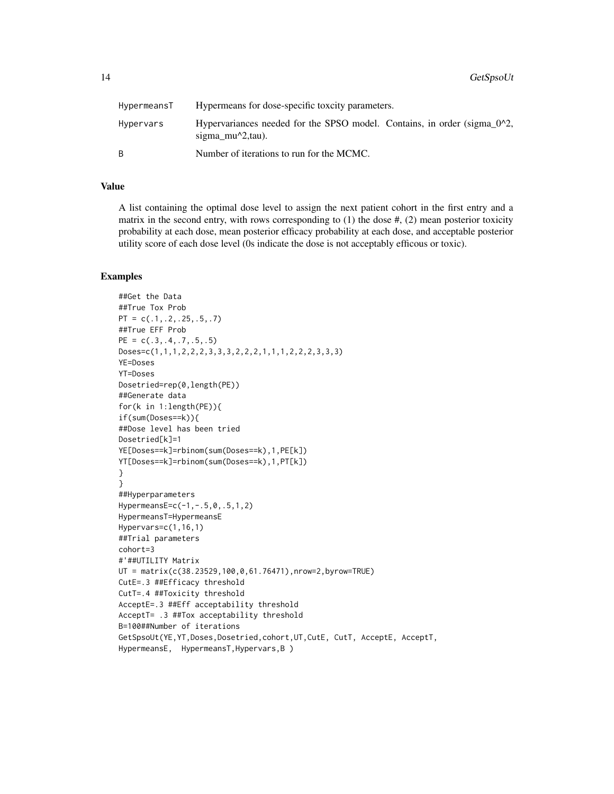| HypermeansT | Hypermeans for dose-specific toxcity parameters.                                             |
|-------------|----------------------------------------------------------------------------------------------|
| Hypervars   | Hypervariances needed for the SPSO model. Contains, in order (sigma_0^2,<br>sigma_mu^2,tau). |
| B.          | Number of iterations to run for the MCMC.                                                    |

A list containing the optimal dose level to assign the next patient cohort in the first entry and a matrix in the second entry, with rows corresponding to  $(1)$  the dose  $\#$ ,  $(2)$  mean posterior toxicity probability at each dose, mean posterior efficacy probability at each dose, and acceptable posterior utility score of each dose level (0s indicate the dose is not acceptably efficous or toxic).

```
##Get the Data
##True Tox Prob
PT = c(.1,.2,.25,.5,.7)##True EFF Prob
PE = c(.3,.4,.7,.5,.5)Doses=c(1,1,1,2,2,2,3,3,3,2,2,2,1,1,1,2,2,2,3,3,3)
YE=Doses
YT=Doses
Dosetried=rep(0,length(PE))
##Generate data
for(k in 1:length(PE)){
if(sum(Doses==k)){
##Dose level has been tried
Dosetried[k]=1
YE[Doses==k]=rbinom(sum(Doses==k),1,PE[k])
YT[Doses==k]=rbinom(sum(Doses==k),1,PT[k])
}
}
##Hyperparameters
HypermeansE=c(-1,-.5,0,.5,1,2)
HypermeansT=HypermeansE
Hypervars=c(1,16,1)
##Trial parameters
cohort=3
#'##UTILITY Matrix
UT = matrix(c(38.23529,100,0,61.76471),nrow=2,byrow=TRUE)
CutE=.3 ##Efficacy threshold
CutT=.4 ##Toxicity threshold
AcceptE=.3 ##Eff acceptability threshold
AcceptT= .3 ##Tox acceptability threshold
B=100##Number of iterations
GetSpsoUt(YE,YT,Doses,Dosetried,cohort,UT,CutE, CutT, AcceptE, AcceptT,
HypermeansE, HypermeansT,Hypervars,B )
```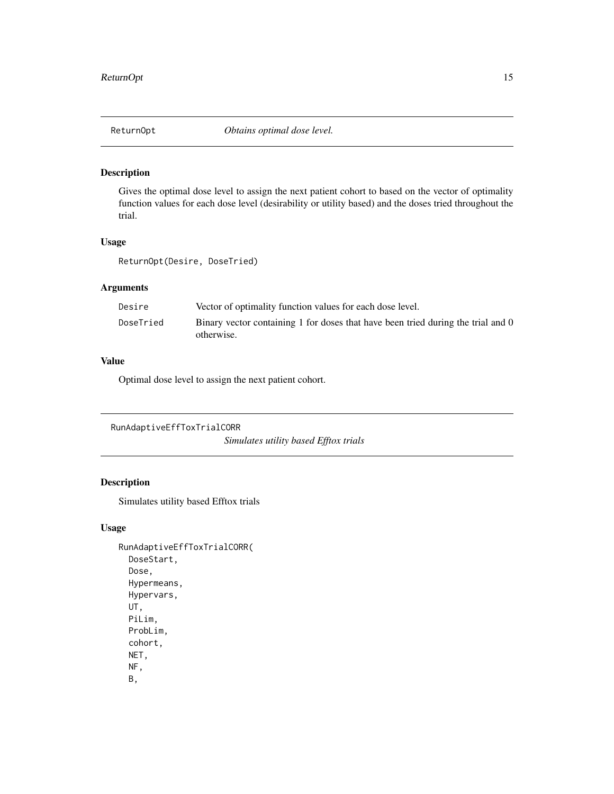<span id="page-14-0"></span>

### Description

Gives the optimal dose level to assign the next patient cohort to based on the vector of optimality function values for each dose level (desirability or utility based) and the doses tried throughout the trial.

### Usage

ReturnOpt(Desire, DoseTried)

#### Arguments

| Desire    | Vector of optimality function values for each dose level.                                      |
|-----------|------------------------------------------------------------------------------------------------|
| DoseTried | Binary vector containing 1 for doses that have been tried during the trial and 0<br>otherwise. |

#### Value

Optimal dose level to assign the next patient cohort.

```
RunAdaptiveEffToxTrialCORR
                          Simulates utility based Efftox trials
```
# Description

Simulates utility based Efftox trials

### Usage

```
RunAdaptiveEffToxTrialCORR(
 DoseStart,
 Dose,
 Hypermeans,
 Hypervars,
 UT,
 PiLim,
 ProbLim,
 cohort,
 NET,
 NF,
 B,
```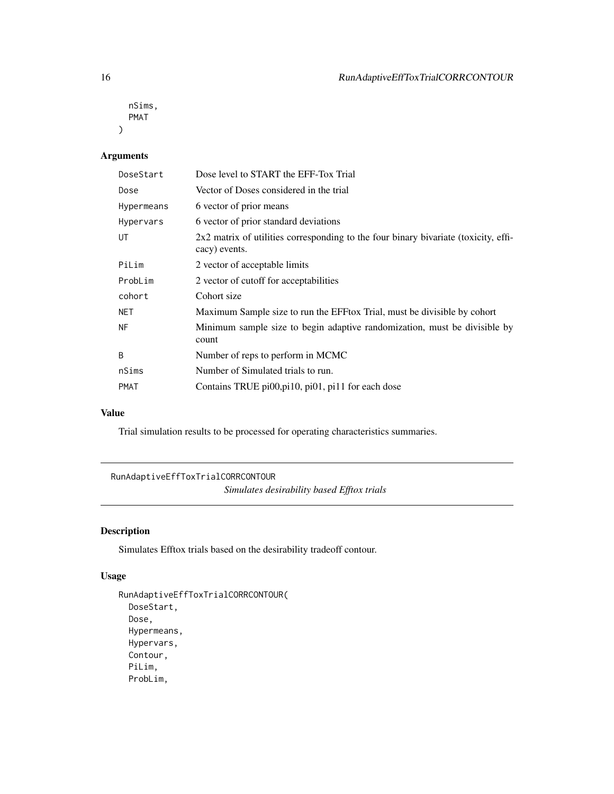```
nSims,
 PMAT
)
```
# Arguments

| DoseStart   | Dose level to START the EFF-Tox Trial                                                                |
|-------------|------------------------------------------------------------------------------------------------------|
| Dose        | Vector of Doses considered in the trial                                                              |
| Hypermeans  | 6 vector of prior means                                                                              |
| Hypervars   | 6 vector of prior standard deviations                                                                |
| UT          | 2x2 matrix of utilities corresponding to the four binary bivariate (toxicity, effi-<br>cacy) events. |
| PiLim       | 2 vector of acceptable limits                                                                        |
| ProbLim     | 2 vector of cutoff for acceptabilities                                                               |
| cohort      | Cohort size                                                                                          |
| <b>NET</b>  | Maximum Sample size to run the EFF tox Trial, must be divisible by cohort                            |
| <b>NF</b>   | Minimum sample size to begin adaptive randomization, must be divisible by<br>count                   |
| B           | Number of reps to perform in MCMC                                                                    |
| nSims       | Number of Simulated trials to run.                                                                   |
| <b>PMAT</b> | Contains TRUE pi00, pi10, pi01, pi11 for each dose                                                   |

# Value

Trial simulation results to be processed for operating characteristics summaries.

RunAdaptiveEffToxTrialCORRCONTOUR *Simulates desirability based Efftox trials*

# Description

Simulates Efftox trials based on the desirability tradeoff contour.

# Usage

```
RunAdaptiveEffToxTrialCORRCONTOUR(
 DoseStart,
 Dose,
 Hypermeans,
 Hypervars,
 Contour,
 PiLim,
 ProbLim,
```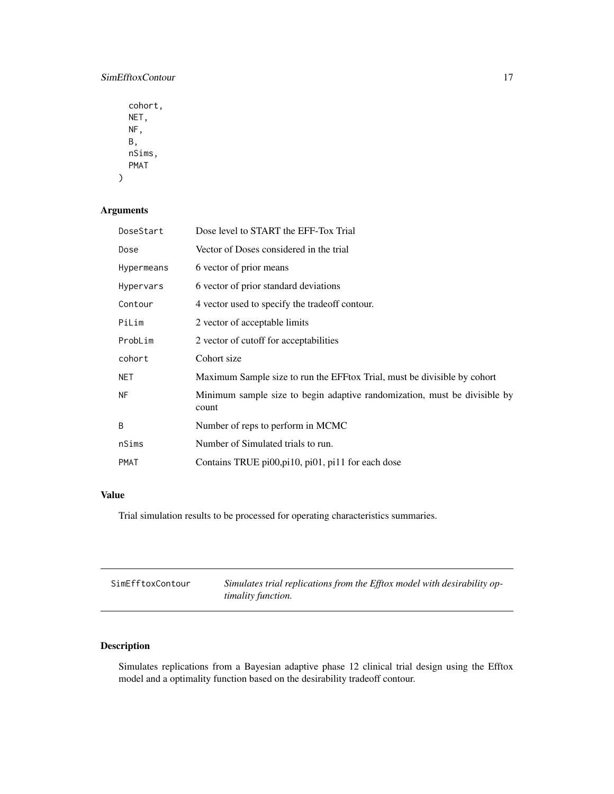# <span id="page-16-0"></span>SimEfftoxContour 17

cohort, NET, NF, B, nSims, PMAT  $\mathcal{E}$ 

# Arguments

| DoseStart   | Dose level to START the EFF-Tox Trial                                              |
|-------------|------------------------------------------------------------------------------------|
| Dose        | Vector of Doses considered in the trial                                            |
| Hypermeans  | 6 vector of prior means                                                            |
| Hypervars   | 6 vector of prior standard deviations                                              |
| Contour     | 4 vector used to specify the tradeoff contour.                                     |
| PiLim       | 2 vector of acceptable limits                                                      |
| ProbLim     | 2 vector of cutoff for acceptabilities                                             |
| cohort      | Cohort size                                                                        |
| <b>NET</b>  | Maximum Sample size to run the EFF tox Trial, must be divisible by cohort          |
| <b>NF</b>   | Minimum sample size to begin adaptive randomization, must be divisible by<br>count |
| B           | Number of reps to perform in MCMC                                                  |
| nSims       | Number of Simulated trials to run.                                                 |
| <b>PMAT</b> | Contains TRUE $pi00, \pi10, \pi01, \pi11$ for each dose                            |

# Value

Trial simulation results to be processed for operating characteristics summaries.

| SimEfftoxContour | Simulates trial replications from the Efftox model with desirability op- |
|------------------|--------------------------------------------------------------------------|
|                  | <i>timality function.</i>                                                |

# Description

Simulates replications from a Bayesian adaptive phase 12 clinical trial design using the Efftox model and a optimality function based on the desirability tradeoff contour.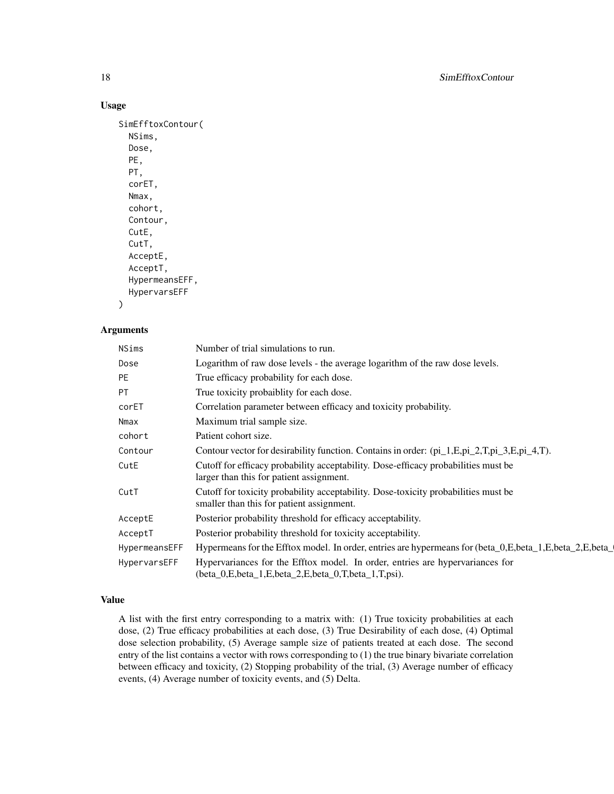#### Usage

```
SimEfftoxContour(
 NSims,
  Dose,
  PE,
  PT,
  corET,
 Nmax,
  cohort,
  Contour,
  CutE,
  CutT,
  AcceptE,
  AcceptT,
 HypermeansEFF,
 HypervarsEFF
```

```
)
```
#### Arguments

| NSims         | Number of trial simulations to run.                                                                                                  |
|---------------|--------------------------------------------------------------------------------------------------------------------------------------|
| Dose          | Logarithm of raw dose levels - the average logarithm of the raw dose levels.                                                         |
| <b>PE</b>     | True efficacy probability for each dose.                                                                                             |
| <b>PT</b>     | True toxicity probaiblity for each dose.                                                                                             |
| corET         | Correlation parameter between efficacy and toxicity probability.                                                                     |
| Nmax          | Maximum trial sample size.                                                                                                           |
| cohort        | Patient cohort size.                                                                                                                 |
| Contour       | Contour vector for desirability function. Contains in order: $(p_1, 1, E, p_1, 2, T, p_1, 3, E, p_1, 4, T)$ .                        |
| CutE          | Cutoff for efficacy probability acceptability. Dose-efficacy probabilities must be<br>larger than this for patient assignment.       |
| CutT          | Cutoff for toxicity probability acceptability. Dose-toxicity probabilities must be<br>smaller than this for patient assignment.      |
| AcceptE       | Posterior probability threshold for efficacy acceptability.                                                                          |
| AcceptT       | Posterior probability threshold for toxicity acceptability.                                                                          |
| HypermeansEFF | Hypermeans for the Efftox model. In order, entries are hypermeans for (beta_0,E,beta_1,E,beta_2,E,beta_                              |
| HypervarsEFF  | Hypervariances for the Efftox model. In order, entries are hypervariances for<br>(beta_0,E,beta_1,E,beta_2,E,beta_0,T,beta_1,T,psi). |

### Value

A list with the first entry corresponding to a matrix with: (1) True toxicity probabilities at each dose, (2) True efficacy probabilities at each dose, (3) True Desirability of each dose, (4) Optimal dose selection probability, (5) Average sample size of patients treated at each dose. The second entry of the list contains a vector with rows corresponding to (1) the true binary bivariate correlation between efficacy and toxicity, (2) Stopping probability of the trial, (3) Average number of efficacy events, (4) Average number of toxicity events, and (5) Delta.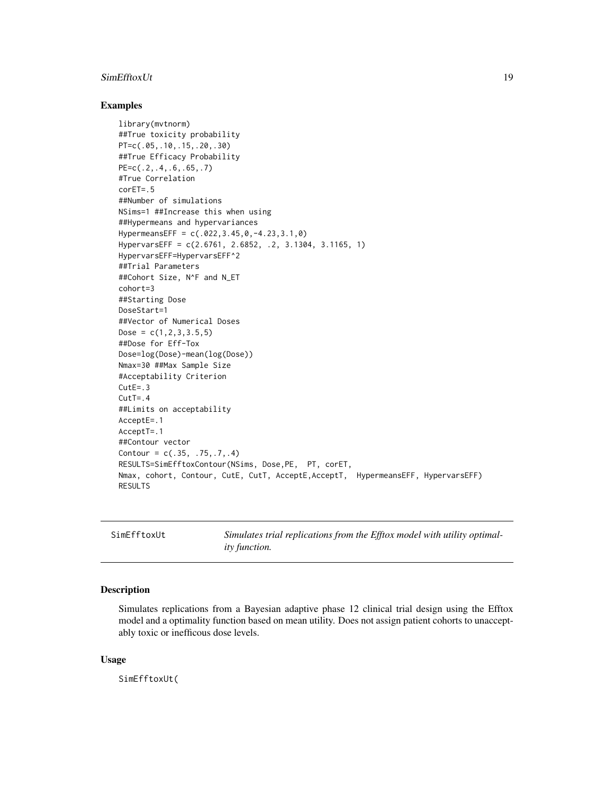#### <span id="page-18-0"></span>SimEfftoxUt 19

#### Examples

```
library(mvtnorm)
##True toxicity probability
PT=c(.05,.10,.15,.20,.30)
##True Efficacy Probability
PE=c(.2,.4,.6,.65,.7)
#True Correlation
corET=.5
##Number of simulations
NSims=1 ##Increase this when using
##Hypermeans and hypervariances
HypermeansEFF = c(.022,3.45,0,-4.23,3.1,0)
HypervarsEFF = c(2.6761, 2.6852, .2, 3.1304, 3.1165, 1)
HypervarsEFF=HypervarsEFF^2
##Trial Parameters
##Cohort Size, N^F and N_ET
cohort=3
##Starting Dose
DoseStart=1
##Vector of Numerical Doses
Dose = c(1, 2, 3, 3.5, 5)##Dose for Eff-Tox
Dose=log(Dose)-mean(log(Dose))
Nmax=30 ##Max Sample Size
#Acceptability Criterion
CutE=.3
CutT = .4##Limits on acceptability
AcceptE=.1
AcceptT=.1
##Contour vector
Contour = c(.35, .75, .7, .4)RESULTS=SimEfftoxContour(NSims, Dose,PE, PT, corET,
Nmax, cohort, Contour, CutE, CutT, AcceptE,AcceptT, HypermeansEFF, HypervarsEFF)
RESULTS
```
SimEfftoxUt *Simulates trial replications from the Efftox model with utility optimality function.*

#### Description

Simulates replications from a Bayesian adaptive phase 12 clinical trial design using the Efftox model and a optimality function based on mean utility. Does not assign patient cohorts to unacceptably toxic or inefficous dose levels.

#### Usage

SimEfftoxUt(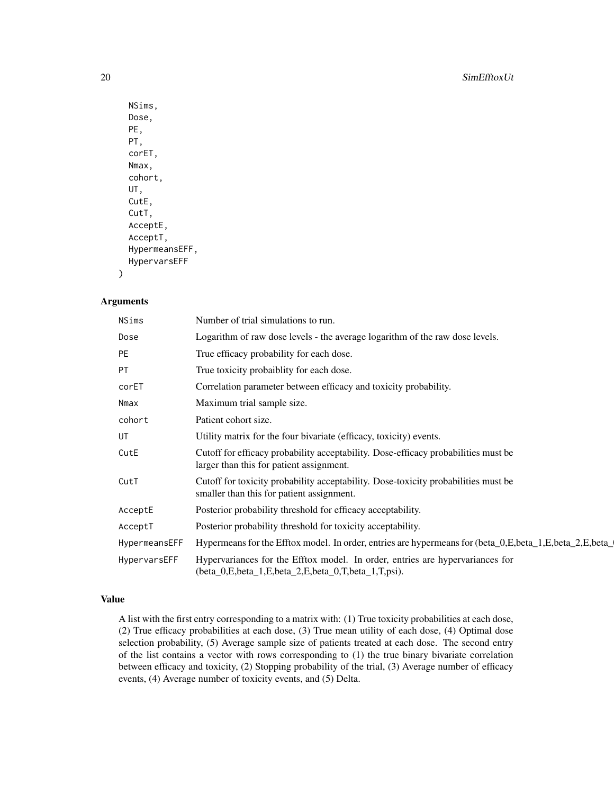```
NSims,
Dose,
PE,
PT,
corET,
Nmax,
cohort,
UT,
CutE,
CutT,
AcceptE,
AcceptT,
HypermeansEFF,
HypervarsEFF
```
#### Arguments

)

| NSims         | Number of trial simulations to run.                                                                                                  |
|---------------|--------------------------------------------------------------------------------------------------------------------------------------|
| Dose          | Logarithm of raw dose levels - the average logarithm of the raw dose levels.                                                         |
| PE            | True efficacy probability for each dose.                                                                                             |
| <b>PT</b>     | True toxicity probaiblity for each dose.                                                                                             |
| corET         | Correlation parameter between efficacy and toxicity probability.                                                                     |
| Nmax          | Maximum trial sample size.                                                                                                           |
| cohort        | Patient cohort size.                                                                                                                 |
| UT            | Utility matrix for the four bivariate (efficacy, toxicity) events.                                                                   |
| CutE          | Cutoff for efficacy probability acceptability. Dose-efficacy probabilities must be<br>larger than this for patient assignment.       |
| CutT          | Cutoff for toxicity probability acceptability. Dose-toxicity probabilities must be<br>smaller than this for patient assignment.      |
| AcceptE       | Posterior probability threshold for efficacy acceptability.                                                                          |
| AcceptT       | Posterior probability threshold for toxicity acceptability.                                                                          |
| HypermeansEFF | Hypermeans for the Efftox model. In order, entries are hypermeans for (beta_0,E,beta_1,E,beta_2,E,beta_2,E,beta_                     |
| HypervarsEFF  | Hypervariances for the Efftox model. In order, entries are hypervariances for<br>(beta_0,E,beta_1,E,beta_2,E,beta_0,T,beta_1,T,psi). |

### Value

A list with the first entry corresponding to a matrix with: (1) True toxicity probabilities at each dose, (2) True efficacy probabilities at each dose, (3) True mean utility of each dose, (4) Optimal dose selection probability, (5) Average sample size of patients treated at each dose. The second entry of the list contains a vector with rows corresponding to (1) the true binary bivariate correlation between efficacy and toxicity, (2) Stopping probability of the trial, (3) Average number of efficacy events, (4) Average number of toxicity events, and (5) Delta.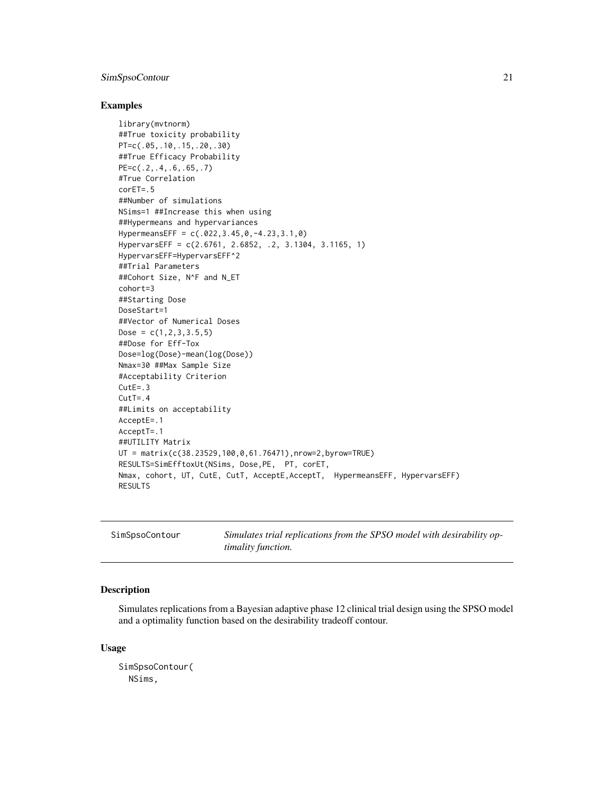# <span id="page-20-0"></span>SimSpsoContour 21

#### Examples

```
library(mvtnorm)
##True toxicity probability
PT=c(.05,.10,.15,.20,.30)
##True Efficacy Probability
PE=c(.2,.4,.6,.65,.7)
#True Correlation
corET=.5
##Number of simulations
NSims=1 ##Increase this when using
##Hypermeans and hypervariances
HypermeansEFF = c(.022,3.45,0,-4.23,3.1,0)
HypervarsEFF = c(2.6761, 2.6852, .2, 3.1304, 3.1165, 1)
HypervarsEFF=HypervarsEFF^2
##Trial Parameters
##Cohort Size, N^F and N_ET
cohort=3
##Starting Dose
DoseStart=1
##Vector of Numerical Doses
Dose = c(1, 2, 3, 3.5, 5)##Dose for Eff-Tox
Dose=log(Dose)-mean(log(Dose))
Nmax=30 ##Max Sample Size
#Acceptability Criterion
CutE=.3
CutT = .4##Limits on acceptability
AcceptE=.1
AcceptT=.1
##UTILITY Matrix
UT = matrix(c(38.23529,100,0,61.76471),nrow=2,byrow=TRUE)
RESULTS=SimEfftoxUt(NSims, Dose,PE, PT, corET,
Nmax, cohort, UT, CutE, CutT, AcceptE,AcceptT, HypermeansEFF, HypervarsEFF)
RESULTS
```

| SimSpsoContour | Simulates trial replications from the SPSO model with desirability op- |
|----------------|------------------------------------------------------------------------|
|                | <i>timality function.</i>                                              |

# Description

Simulates replications from a Bayesian adaptive phase 12 clinical trial design using the SPSO model and a optimality function based on the desirability tradeoff contour.

#### Usage

```
SimSpsoContour(
 NSims,
```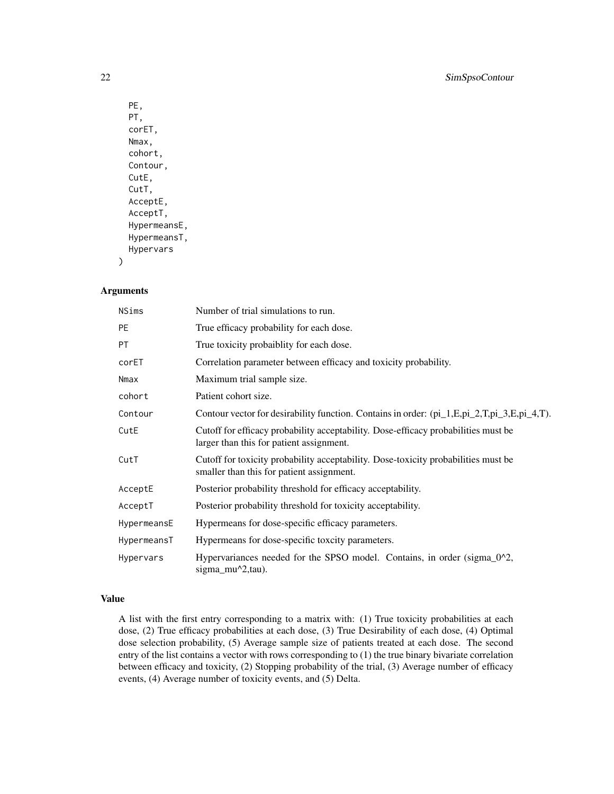```
PE,
PT,
corET,
Nmax,
cohort,
Contour,
CutE,
CutT,
AcceptE,
AcceptT,
HypermeansE,
HypermeansT,
Hypervars
```
#### Arguments

)

| <b>NSims</b> | Number of trial simulations to run.                                                                                             |
|--------------|---------------------------------------------------------------------------------------------------------------------------------|
| <b>PE</b>    | True efficacy probability for each dose.                                                                                        |
| <b>PT</b>    | True toxicity probaiblity for each dose.                                                                                        |
| corET        | Correlation parameter between efficacy and toxicity probability.                                                                |
| Nmax         | Maximum trial sample size.                                                                                                      |
| cohort       | Patient cohort size.                                                                                                            |
| Contour      | Contour vector for desirability function. Contains in order: (pi_1,E,pi_2,T,pi_3,E,pi_4,T).                                     |
| CutE         | Cutoff for efficacy probability acceptability. Dose-efficacy probabilities must be<br>larger than this for patient assignment.  |
| CutT         | Cutoff for toxicity probability acceptability. Dose-toxicity probabilities must be<br>smaller than this for patient assignment. |
| AcceptE      | Posterior probability threshold for efficacy acceptability.                                                                     |
| AcceptT      | Posterior probability threshold for toxicity acceptability.                                                                     |
| HypermeansE  | Hypermeans for dose-specific efficacy parameters.                                                                               |
| HypermeansT  | Hypermeans for dose-specific toxcity parameters.                                                                                |
| Hypervars    | Hypervariances needed for the SPSO model. Contains, in order (sigma_0^2,<br>sigma_mu^2,tau).                                    |

# Value

A list with the first entry corresponding to a matrix with: (1) True toxicity probabilities at each dose, (2) True efficacy probabilities at each dose, (3) True Desirability of each dose, (4) Optimal dose selection probability, (5) Average sample size of patients treated at each dose. The second entry of the list contains a vector with rows corresponding to (1) the true binary bivariate correlation between efficacy and toxicity, (2) Stopping probability of the trial, (3) Average number of efficacy events, (4) Average number of toxicity events, and (5) Delta.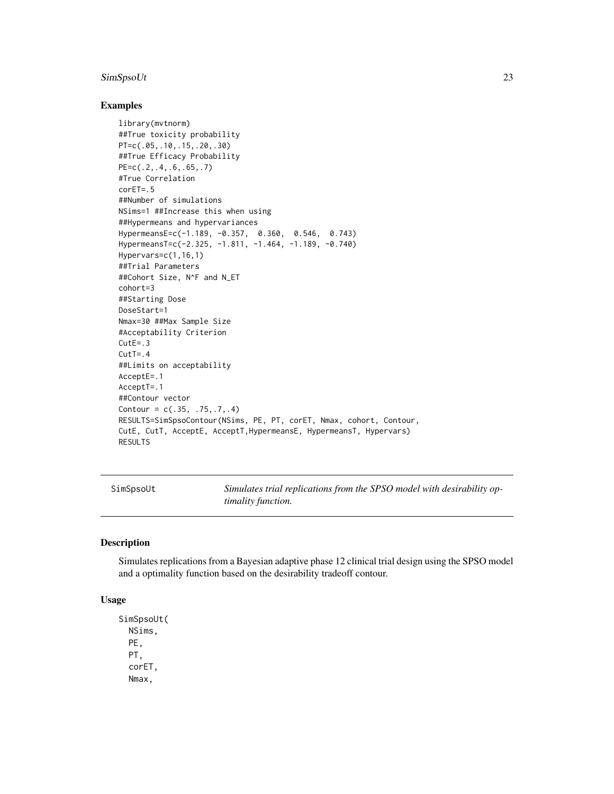# <span id="page-22-0"></span>SimSpsoUt 23

#### Examples

```
library(mvtnorm)
##True toxicity probability
PT=c(.05,.10,.15,.20,.30)
##True Efficacy Probability
PE=c(.2,.4,.6,.65,.7)
#True Correlation
corET=.5
##Number of simulations
NSims=1 ##Increase this when using
##Hypermeans and hypervariances
HypermeansE=c(-1.189, -0.357, 0.360, 0.546, 0.743)
HypermeansT=c(-2.325, -1.811, -1.464, -1.189, -0.740)
Hypervars=c(1,16,1)
##Trial Parameters
##Cohort Size, N^F and N_ET
cohort=3
##Starting Dose
DoseStart=1
Nmax=30 ##Max Sample Size
#Acceptability Criterion
CutE=.3
CutT = .4##Limits on acceptability
AcceptE=.1
AcceptT=.1
##Contour vector
Contour = c(.35, .75, .7, .4)RESULTS=SimSpsoContour(NSims, PE, PT, corET, Nmax, cohort, Contour,
CutE, CutT, AcceptE, AcceptT,HypermeansE, HypermeansT, Hypervars)
RESULTS
```
SimSpsoUt *Simulates trial replications from the SPSO model with desirability optimality function.*

#### Description

Simulates replications from a Bayesian adaptive phase 12 clinical trial design using the SPSO model and a optimality function based on the desirability tradeoff contour.

#### Usage

```
SimSpsoUt(
 NSims,
 PE,
 PT,
  corET,
 Nmax,
```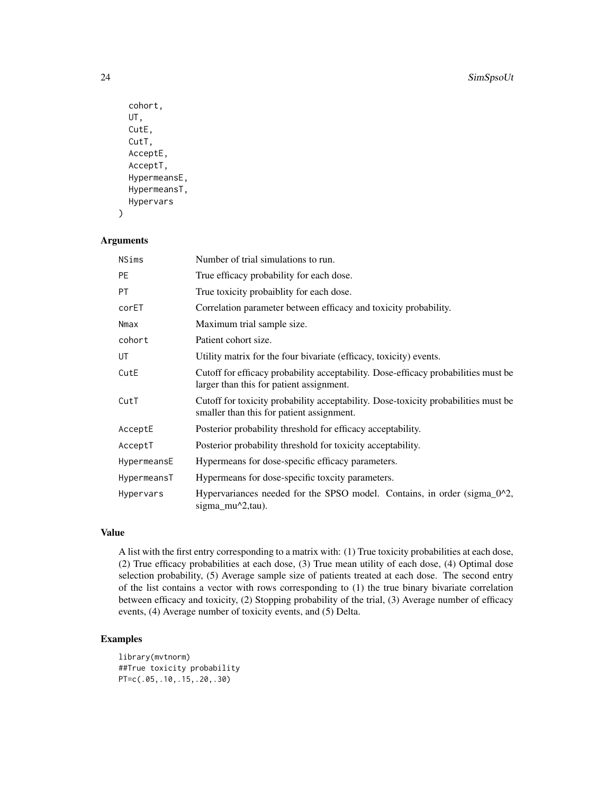```
cohort,
UT,
CutE,
CutT,
AcceptE,
AcceptT,
HypermeansE,
HypermeansT,
Hypervars
```

```
Arguments
```
)

| NSims       | Number of trial simulations to run.                                                                                             |
|-------------|---------------------------------------------------------------------------------------------------------------------------------|
| <b>PE</b>   | True efficacy probability for each dose.                                                                                        |
| PT.         | True toxicity probaiblity for each dose.                                                                                        |
| corET       | Correlation parameter between efficacy and toxicity probability.                                                                |
| Nmax        | Maximum trial sample size.                                                                                                      |
| cohort      | Patient cohort size.                                                                                                            |
| UT          | Utility matrix for the four bivariate (efficacy, toxicity) events.                                                              |
| CutE        | Cutoff for efficacy probability acceptability. Dose-efficacy probabilities must be<br>larger than this for patient assignment.  |
| CutT        | Cutoff for toxicity probability acceptability. Dose-toxicity probabilities must be<br>smaller than this for patient assignment. |
| AcceptE     | Posterior probability threshold for efficacy acceptability.                                                                     |
| AcceptT     | Posterior probability threshold for toxicity acceptability.                                                                     |
| HypermeansE | Hypermeans for dose-specific efficacy parameters.                                                                               |
| HypermeansT | Hypermeans for dose-specific toxcity parameters.                                                                                |
| Hypervars   | Hypervariances needed for the SPSO model. Contains, in order (sigma_0^2,<br>sigma $mu^2$ , tau).                                |

# Value

A list with the first entry corresponding to a matrix with: (1) True toxicity probabilities at each dose, (2) True efficacy probabilities at each dose, (3) True mean utility of each dose, (4) Optimal dose selection probability, (5) Average sample size of patients treated at each dose. The second entry of the list contains a vector with rows corresponding to (1) the true binary bivariate correlation between efficacy and toxicity, (2) Stopping probability of the trial, (3) Average number of efficacy events, (4) Average number of toxicity events, and (5) Delta.

```
library(mvtnorm)
##True toxicity probability
PT=c(.05,.10,.15,.20,.30)
```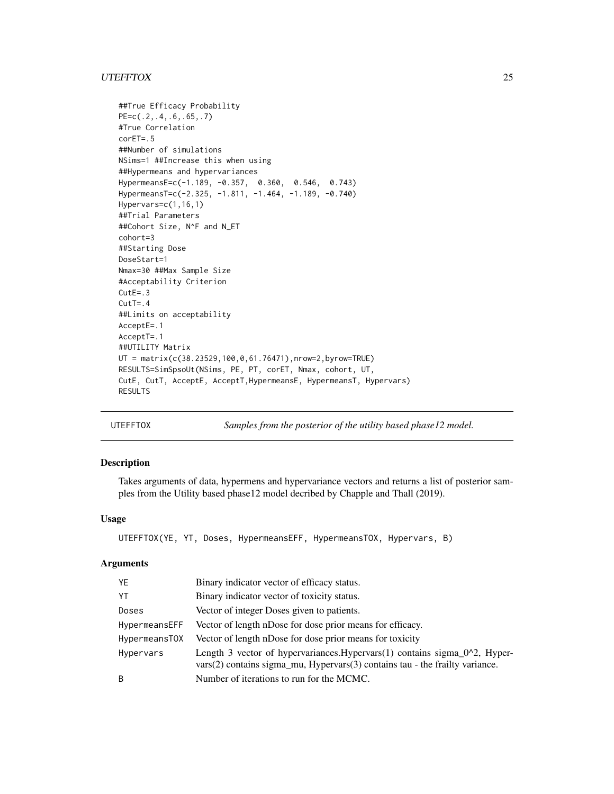#### <span id="page-24-0"></span>UTEFFTOX 25

```
##True Efficacy Probability
PE=c(.2,.4,.6,.65,.7)
#True Correlation
corET=.5
##Number of simulations
NSims=1 ##Increase this when using
##Hypermeans and hypervariances
HypermeansE=c(-1.189, -0.357, 0.360, 0.546, 0.743)
HypermeansT=c(-2.325, -1.811, -1.464, -1.189, -0.740)
Hypervars=c(1,16,1)
##Trial Parameters
##Cohort Size, N^F and N_ET
cohort=3
##Starting Dose
DoseStart=1
Nmax=30 ##Max Sample Size
#Acceptability Criterion
CutE=.3
CutT = .4##Limits on acceptability
AcceptE=.1
AcceptT=.1
##UTILITY Matrix
UT = matrix(c(38.23529,100,0,61.76471),nrow=2,byrow=TRUE)
RESULTS=SimSpsoUt(NSims, PE, PT, corET, Nmax, cohort, UT,
CutE, CutT, AcceptE, AcceptT,HypermeansE, HypermeansT, Hypervars)
RESULTS
```
UTEFFTOX *Samples from the posterior of the utility based phase12 model.*

### Description

Takes arguments of data, hypermens and hypervariance vectors and returns a list of posterior samples from the Utility based phase12 model decribed by Chapple and Thall (2019).

# Usage

```
UTEFFTOX(YE, YT, Doses, HypermeansEFF, HypermeansTOX, Hypervars, B)
```

| YE            | Binary indicator vector of efficacy status.                                                                                                                            |
|---------------|------------------------------------------------------------------------------------------------------------------------------------------------------------------------|
| YT            | Binary indicator vector of toxicity status.                                                                                                                            |
| Doses         | Vector of integer Doses given to patients.                                                                                                                             |
| HypermeansEFF | Vector of length nDose for dose prior means for efficacy.                                                                                                              |
| HypermeansTOX | Vector of length nDose for dose prior means for toxicity                                                                                                               |
| Hypervars     | Length 3 vector of hypervariances. Hypervars $(1)$ contains sigma_ $0^2$ , Hyper-<br>$vars(2)$ contains sigma_mu, Hypervars $(3)$ contains tau - the frailty variance. |
| B             | Number of iterations to run for the MCMC.                                                                                                                              |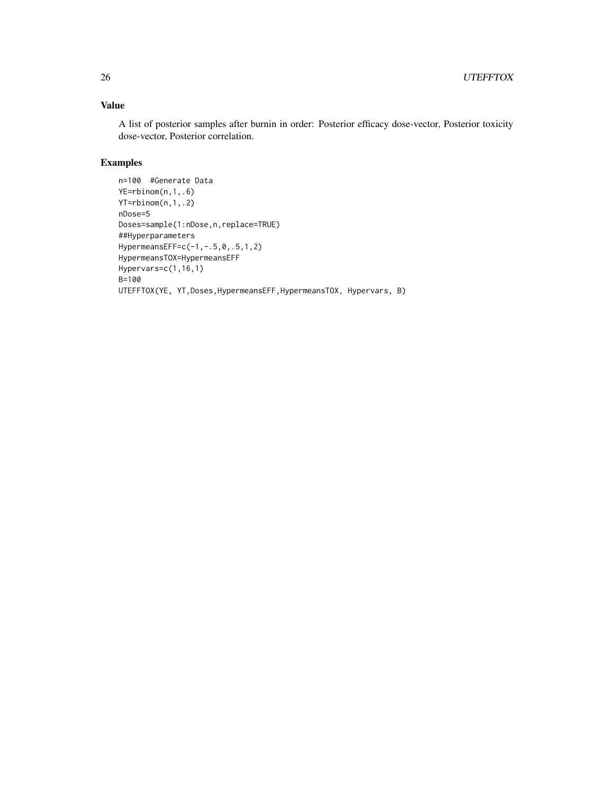A list of posterior samples after burnin in order: Posterior efficacy dose-vector, Posterior toxicity dose-vector, Posterior correlation.

```
n=100 #Generate Data
YE=rbinom(n,1,.6)
YT=rbinom(n,1,.2)
nDose=5
Doses=sample(1:nDose,n,replace=TRUE)
##Hyperparameters
HypermeansEFF=c(-1,-.5,0,.5,1,2)
HypermeansTOX=HypermeansEFF
Hypervars=c(1,16,1)
B=100
UTEFFTOX(YE, YT,Doses,HypermeansEFF,HypermeansTOX, Hypervars, B)
```